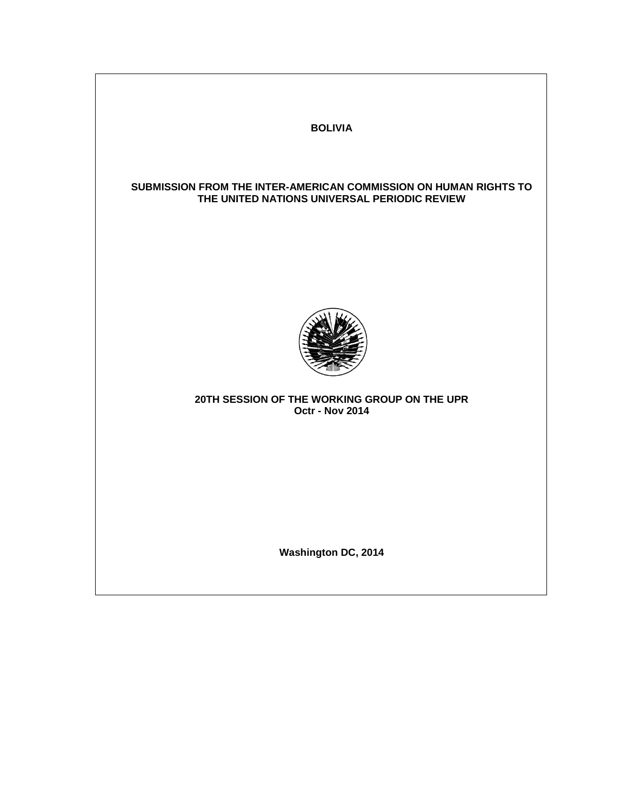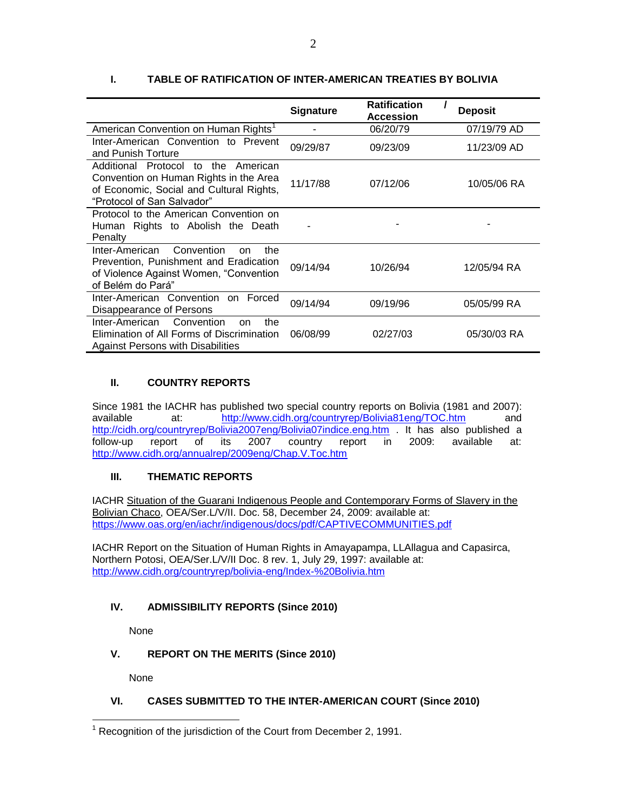|                                                                                                                                                               | <b>Signature</b> | <b>Ratification</b><br><b>Accession</b> | <b>Deposit</b> |
|---------------------------------------------------------------------------------------------------------------------------------------------------------------|------------------|-----------------------------------------|----------------|
| American Convention on Human Rights <sup>1</sup>                                                                                                              |                  | 06/20/79                                | 07/19/79 AD    |
| Inter-American Convention to Prevent<br>and Punish Torture                                                                                                    | 09/29/87         | 09/23/09                                | 11/23/09 AD    |
| Additional Protocol<br>to the<br>American<br>Convention on Human Rights in the Area<br>of Economic, Social and Cultural Rights,<br>"Protocol of San Salvador" | 11/17/88         | 07/12/06                                | 10/05/06 RA    |
| Protocol to the American Convention on<br>Human Rights to Abolish the Death<br>Penalty                                                                        |                  |                                         |                |
| Inter-American<br>Convention<br>the<br><sub>on</sub><br>Prevention, Punishment and Eradication<br>of Violence Against Women, "Convention<br>of Belém do Pará" | 09/14/94         | 10/26/94                                | 12/05/94 RA    |
| Inter-American Convention on Forced<br>Disappearance of Persons                                                                                               | 09/14/94         | 09/19/96                                | 05/05/99 RA    |
| Inter-American<br>Convention<br>the<br><sub>on</sub><br>Elimination of All Forms of Discrimination<br><b>Against Persons with Disabilities</b>                | 06/08/99         | 02/27/03                                | 05/30/03 RA    |

# **I. TABLE OF RATIFICATION OF INTER-AMERICAN TREATIES BY BOLIVIA**

# **II. COUNTRY REPORTS**

Since 1981 the IACHR has published two special country reports on Bolivia (1981 and 2007): available at: <http://www.cidh.org/countryrep/Bolivia81eng/TOC.htm> and <http://cidh.org/countryrep/Bolivia2007eng/Bolivia07indice.eng.htm> . It has also published a follow-up report of its 2007 country report in 2009: available at: <http://www.cidh.org/annualrep/2009eng/Chap.V.Toc.htm>

### **III. THEMATIC REPORTS**

IACHR Situation of the Guarani Indigenous People and Contemporary Forms of Slavery in the Bolivian Chaco, OEA/Ser.L/V/II. Doc. 58, December 24, 2009: available at: <https://www.oas.org/en/iachr/indigenous/docs/pdf/CAPTIVECOMMUNITIES.pdf>

IACHR Report on the Situation of Human Rights in Amayapampa, LLAllagua and Capasirca, Northern Potosi, OEA/Ser.L/V/II Doc. 8 rev. 1, July 29, 1997: available at: <http://www.cidh.org/countryrep/bolivia-eng/Index-%20Bolivia.htm>

### **IV. ADMISSIBILITY REPORTS (Since 2010)**

None

### **V. REPORT ON THE MERITS (Since 2010)**

None

# **VI. CASES SUBMITTED TO THE INTER-AMERICAN COURT (Since 2010)**

 $\overline{a}$  $1$  Recognition of the jurisdiction of the Court from December 2, 1991.